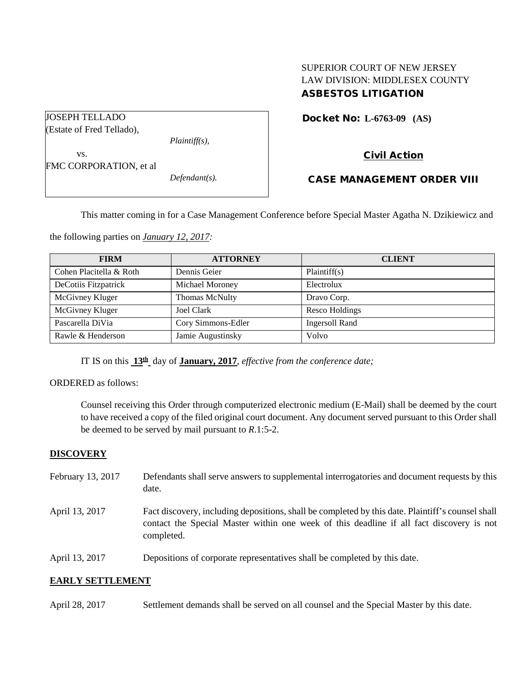# SUPERIOR COURT OF NEW JERSEY LAW DIVISION: MIDDLESEX COUNTY ASBESTOS LITIGATION

Docket No: **L-6763-09 (AS)** 

Civil Action

vs. FMC CORPORATION, et al

JOSEPH TELLADO (Estate of Fred Tellado),

*Defendant(s).*

*Plaintiff(s),*

## CASE MANAGEMENT ORDER VIII

This matter coming in for a Case Management Conference before Special Master Agatha N. Dzikiewicz and

the following parties on *January 12, 2017:*

| <b>FIRM</b>             | <b>ATTORNEY</b>    | <b>CLIENT</b>         |
|-------------------------|--------------------|-----------------------|
| Cohen Placitella & Roth | Dennis Geier       | Plaintiff(s)          |
| DeCotiis Fitzpatrick    | Michael Moroney    | Electrolux            |
| McGivney Kluger         | Thomas McNulty     | Dravo Corp.           |
| McGivney Kluger         | Joel Clark         | Resco Holdings        |
| Pascarella DiVia        | Cory Simmons-Edler | <b>Ingersoll Rand</b> |
| Rawle & Henderson       | Jamie Augustinsky  | Volvo                 |

IT IS on this **13th** day of **January, 2017**, *effective from the conference date;*

ORDERED as follows:

Counsel receiving this Order through computerized electronic medium (E-Mail) shall be deemed by the court to have received a copy of the filed original court document. Any document served pursuant to this Order shall be deemed to be served by mail pursuant to *R*.1:5-2.

## **DISCOVERY**

- February 13, 2017 Defendants shall serve answers to supplemental interrogatories and document requests by this date.
- April 13, 2017 Fact discovery, including depositions, shall be completed by this date. Plaintiff's counsel shall contact the Special Master within one week of this deadline if all fact discovery is not completed.
- April 13, 2017 Depositions of corporate representatives shall be completed by this date.

## **EARLY SETTLEMENT**

April 28, 2017 Settlement demands shall be served on all counsel and the Special Master by this date.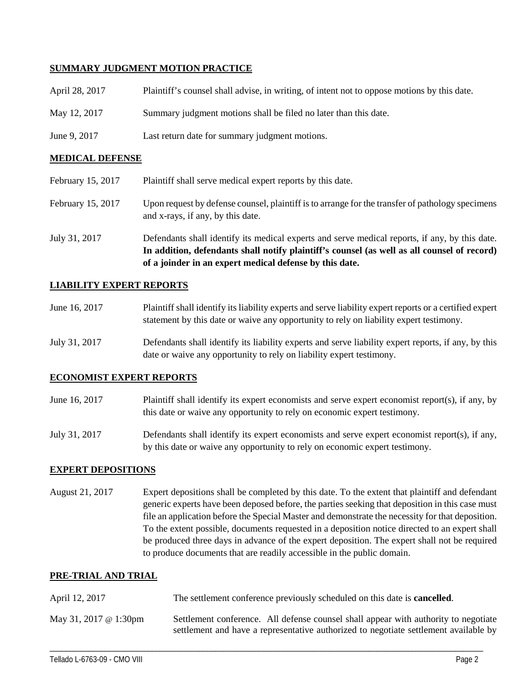### **SUMMARY JUDGMENT MOTION PRACTICE**

| April 28, 2017 | Plaintiff's counsel shall advise, in writing, of intent not to oppose motions by this date. |
|----------------|---------------------------------------------------------------------------------------------|
| May 12, 2017   | Summary judgment motions shall be filed no later than this date.                            |
| June 9, 2017   | Last return date for summary judgment motions.                                              |

#### **MEDICAL DEFENSE**

|                   | of a joinder in an expert medical defense by this date.                                                                               |
|-------------------|---------------------------------------------------------------------------------------------------------------------------------------|
|                   | In addition, defendants shall notify plaintiff's counsel (as well as all counsel of record)                                           |
| July 31, 2017     | Defendants shall identify its medical experts and serve medical reports, if any, by this date.                                        |
| February 15, 2017 | Upon request by defense counsel, plaintiff is to arrange for the transfer of pathology specimens<br>and x-rays, if any, by this date. |
| February 15, 2017 | Plaintiff shall serve medical expert reports by this date.                                                                            |

### **LIABILITY EXPERT REPORTS**

| June 16, 2017 | Plaintiff shall identify its liability experts and serve liability expert reports or a certified expert |
|---------------|---------------------------------------------------------------------------------------------------------|
|               | statement by this date or waive any opportunity to rely on liability expert testimony.                  |

July 31, 2017 Defendants shall identify its liability experts and serve liability expert reports, if any, by this date or waive any opportunity to rely on liability expert testimony.

#### **ECONOMIST EXPERT REPORTS**

- June 16, 2017 Plaintiff shall identify its expert economists and serve expert economist report(s), if any, by this date or waive any opportunity to rely on economic expert testimony.
- July 31, 2017 Defendants shall identify its expert economists and serve expert economist report(s), if any, by this date or waive any opportunity to rely on economic expert testimony.

#### **EXPERT DEPOSITIONS**

August 21, 2017 Expert depositions shall be completed by this date. To the extent that plaintiff and defendant generic experts have been deposed before, the parties seeking that deposition in this case must file an application before the Special Master and demonstrate the necessity for that deposition. To the extent possible, documents requested in a deposition notice directed to an expert shall be produced three days in advance of the expert deposition. The expert shall not be required to produce documents that are readily accessible in the public domain.

#### **PRE-TRIAL AND TRIAL**

| April 12, 2017        | The settlement conference previously scheduled on this date is <b>cancelled</b> .                                                                                           |  |
|-----------------------|-----------------------------------------------------------------------------------------------------------------------------------------------------------------------------|--|
| May 31, 2017 @ 1:30pm | Settlement conference. All defense counsel shall appear with authority to negotiate<br>settlement and have a representative authorized to negotiate settlement available by |  |

\_\_\_\_\_\_\_\_\_\_\_\_\_\_\_\_\_\_\_\_\_\_\_\_\_\_\_\_\_\_\_\_\_\_\_\_\_\_\_\_\_\_\_\_\_\_\_\_\_\_\_\_\_\_\_\_\_\_\_\_\_\_\_\_\_\_\_\_\_\_\_\_\_\_\_\_\_\_\_\_\_\_\_\_\_\_\_\_\_\_\_\_\_\_\_\_\_\_\_\_\_\_\_\_\_\_\_\_\_\_